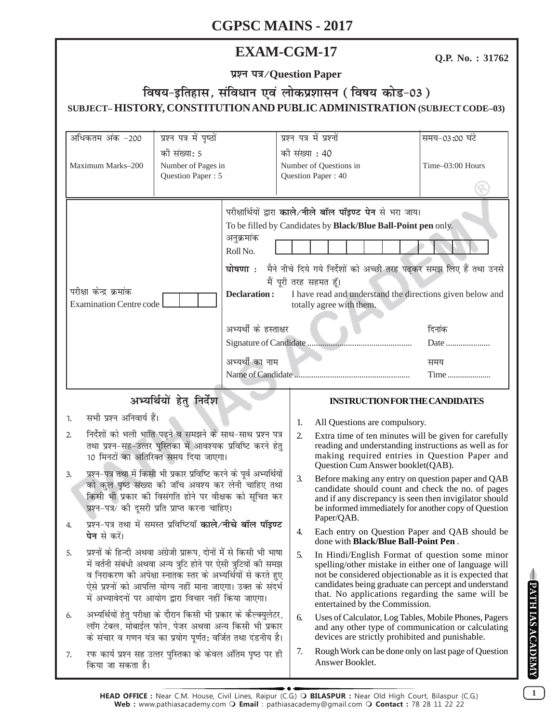# **EXAM-CGM-17**

Q.P. No.: 31762

प्रश्न पत्र/Question Paper

# विषय-इतिहास, संविधान एवं लोकप्रशासन (विषय कोड-03) SUBJECT-HISTORY, CONSTITUTION AND PUBLIC ADMINISTRATION (SUBJECT CODE-03)

| अधिकतम अंक -200                                                                                                                                                                                                                                                                                                                      | प्रश्न पत्र में पृष्ठों                                 |                                                                                                                                                                                                                                                                                                                                                                                                                                                                        | प्रश्न पत्र में प्रश्नों                                       |                                                                                                                                                                                                                                                                                                                 | समय-03:00 घंटे   |
|--------------------------------------------------------------------------------------------------------------------------------------------------------------------------------------------------------------------------------------------------------------------------------------------------------------------------------------|---------------------------------------------------------|------------------------------------------------------------------------------------------------------------------------------------------------------------------------------------------------------------------------------------------------------------------------------------------------------------------------------------------------------------------------------------------------------------------------------------------------------------------------|----------------------------------------------------------------|-----------------------------------------------------------------------------------------------------------------------------------------------------------------------------------------------------------------------------------------------------------------------------------------------------------------|------------------|
| Maximum Marks-200                                                                                                                                                                                                                                                                                                                    | की संख्या: 5<br>Number of Pages in<br>Question Paper: 5 |                                                                                                                                                                                                                                                                                                                                                                                                                                                                        | की संख्या : 40<br>Number of Questions in<br>Question Paper: 40 |                                                                                                                                                                                                                                                                                                                 | Time-03:00 Hours |
| परीक्षा केन्द्र क्रमांक<br><b>Examination Centre code</b>                                                                                                                                                                                                                                                                            |                                                         | परीक्षार्थियों द्वारा काले/नीले बॉल पॉइण्ट पेन से भरा जाय।<br>To be filled by Candidates by Black/Blue Ball-Point pen only.<br>अनुक्रमांक<br>Roll No.<br>मैने नीचे दिये गये निर्देशों को अच्छी तरह पढ़कर समझ लिए हैं तथा उनसे<br>घोषणा <b>ः</b><br>मैं पूरी तरह सहमत हूँ।<br><b>Declaration:</b><br>I have read and understand the directions given below and<br>totally agree with them.<br>अभ्यर्थी के हस्ताक्षर<br>दिनांक<br>Date<br>अभ्यर्थी का नाम<br>समय<br>Time |                                                                |                                                                                                                                                                                                                                                                                                                 |                  |
| अभ्यर्थियों हेतु निर्देश                                                                                                                                                                                                                                                                                                             |                                                         |                                                                                                                                                                                                                                                                                                                                                                                                                                                                        |                                                                | <b>INSTRUCTION FOR THE CANDIDATES</b>                                                                                                                                                                                                                                                                           |                  |
| सभी प्रश्न अनिवार्य हैं।<br>1.                                                                                                                                                                                                                                                                                                       |                                                         |                                                                                                                                                                                                                                                                                                                                                                                                                                                                        |                                                                |                                                                                                                                                                                                                                                                                                                 |                  |
| निर्देशों को भली भांति पढ़ने व समझने के साथ-साथ प्रश्न पत्र<br>2.<br>तथा प्रश्न-सह-उत्तर पुस्तिका में आवश्यक प्रविष्टि करने हेतु<br>10 मिनटों का अतिरिक्त समय दिया जाएगा।                                                                                                                                                            |                                                         |                                                                                                                                                                                                                                                                                                                                                                                                                                                                        | 1.<br>2.                                                       | All Questions are compulsory.<br>Extra time of ten minutes will be given for carefully<br>reading and understanding instructions as well as for<br>making required entries in Question Paper and<br>Question Cum Answer booklet(QAB).                                                                           |                  |
| प्रश्न–पत्र तथा में किसी भी प्रकार प्रविष्टि करने के पूर्व अभ्यर्थियों<br>3.<br>को कुल पृष्ठ संख्या की जाँच अवश्य कर लेनी चाहिए तथा<br>किसी भी प्रकार की विसंगति होने पर वीक्षक को सूचित कर<br>प्रश्न-पत्र/ की दूसरी प्रति प्राप्त करना चाहिए।                                                                                       |                                                         |                                                                                                                                                                                                                                                                                                                                                                                                                                                                        | 3.                                                             | Before making any entry on question paper and QAB<br>candidate should count and check the no. of pages<br>and if any discrepancy is seen then invigilator should<br>be informed immediately for another copy of Question<br>Paper/QAB.                                                                          |                  |
| प्रश्न-पत्र तथा में समस्त प्रविष्टियाँ <b>काले/नीचे बॉल पॉइण्ट</b><br><b>पेन</b> से करें।                                                                                                                                                                                                                                            |                                                         |                                                                                                                                                                                                                                                                                                                                                                                                                                                                        | 4.                                                             | Each entry on Question Paper and QAB should be<br>done with <b>Black/Blue Ball-Point Pen</b> .                                                                                                                                                                                                                  |                  |
| प्रश्नों के हिन्दी अथवा अंग्रेजी प्रारूप, दोनों में से किसी भी भाषा<br>5.<br>में वर्तनी संबंधी अथवा अन्य त्रुटि होने पर ऐसी त्रुटियों की समझ<br>व निराकरण की अपेक्षा स्नातक स्तर के अभ्यर्थियों से करते हुए<br>ऐसे प्रश्नों को आपत्ति योग्य नहीं माना जाएगा। उक्त के संदर्भ<br>में अभ्यावेदनों पर आयोग द्वारा विचार नहीं किया जाएगा। |                                                         |                                                                                                                                                                                                                                                                                                                                                                                                                                                                        | 5.                                                             | In Hindi/English Format of question some minor<br>spelling/other mistake in either one of language will<br>not be considered objectionable as it is expected that<br>candidates being graduate can percept and understand<br>that. No applications regarding the same will be<br>entertained by the Commission. |                  |
| अभ्यर्थियों हेतु परीक्षा के दौरान किसी भी प्रकार के कैल्क्युलेटर,<br>6.<br>लॉग टेबल, मोबाईल फोन, पेजर अथवा अन्य किसी भी प्रकार<br>के संचार व गणन यंत्र का प्रयोग पूर्णत: वर्जित तथा दंडनीय है।                                                                                                                                       |                                                         |                                                                                                                                                                                                                                                                                                                                                                                                                                                                        | 6.                                                             | Uses of Calculator, Log Tables, Mobile Phones, Pagers<br>and any other type of communication or calculating<br>devices are strictly prohibited and punishable.                                                                                                                                                  |                  |
| रफ कार्य प्रश्न सह उत्तर पुस्तिका के केवल अंतिम पृष्ठ पर ही<br>7.<br>किया जा सकता है।                                                                                                                                                                                                                                                |                                                         |                                                                                                                                                                                                                                                                                                                                                                                                                                                                        | 7.                                                             | Rough Work can be done only on last page of Question<br>Answer Booklet.                                                                                                                                                                                                                                         |                  |

 $\overline{1}$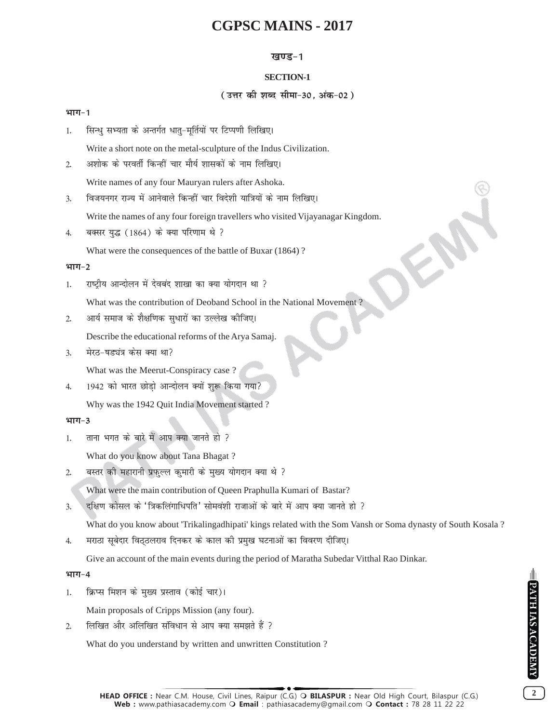#### **खण्ड-1**

#### **SECTION-1**

## ( उत्तर की शब्द सीमा-30, अंक-02)

#### भाग-1

1. सिन्धु सभ्यता के अन्तर्गत धातू-मूर्तियों पर टिप्पणी लिखिए।

Write a short note on the metal-sculpture of the Indus Civilization.

2. अशोक के परवर्ती किन्हीं चार मौर्य शासकों के नाम लिखिए।

Write names of any four Mauryan rulers after Ashoka.

3. विजयनगर राज्य में आनेवाले किन्हीं चार विदेशी यात्रियों के नाम लिखिए।

Write the names of any four foreign travellers who visited Vijayanagar Kingdom.

4. बक्सर युद्ध (1864) के क्या परिणाम थे ?

What were the consequences of the battle of Buxar (1864) ?

#### **भाग-2**

1. राष्टीय आन्दोलन में देवबंद शाखा का क्या योगदान था ?

What was the contribution of Deoband School in the National Movement ?

2. आर्य समाज के शैक्षणिक सधारों का उल्लेख कीजिए।

Describe the educational reforms of the Arya Samaj.

3. मेरठ-षड्यंत्र केस क्या था?

What was the Meerut-Conspiracy case ?

4. 1942 को भारत छोडो आन्दोलन क्यों शुरू किया गया? Why was the 1942 Quit India Movement started ?

## भाग-3

1. ताना भगत के बारे में आप क्या जानते हो ?

What do you know about Tana Bhagat ?

2. बस्तर की महारानी प्रफुल्ल कुमारी के मुख्य योगदान क्या थे ?

What were the main contribution of Queen Praphulla Kumari of Bastar?

3.  $\,$  दक्षिण कोसल के 'त्रिकलिंगाधिपति' सोमवंशी राजाओं के बारे में आप क्या जानते हो ?

What do you know about 'Trikalingadhipati' kings related with the Som Vansh or Soma dynasty of South Kosala ?

4. मराठा सुबेदार विठ्ठलराव दिनकर के काल की प्रमुख घटनाओं का विवरण दीजिए।

Give an account of the main events during the period of Maratha Subedar Vitthal Rao Dinkar.

#### भाग-4

1. क्रिप्स मिशन के मुख्य प्रस्ताव (कोई चार)।

Main proposals of Cripps Mission (any four).

2. लिखित और अलिखित संविधान से आप क्या समझते हैं ?

What do you understand by written and unwritten Constitution ?

**2**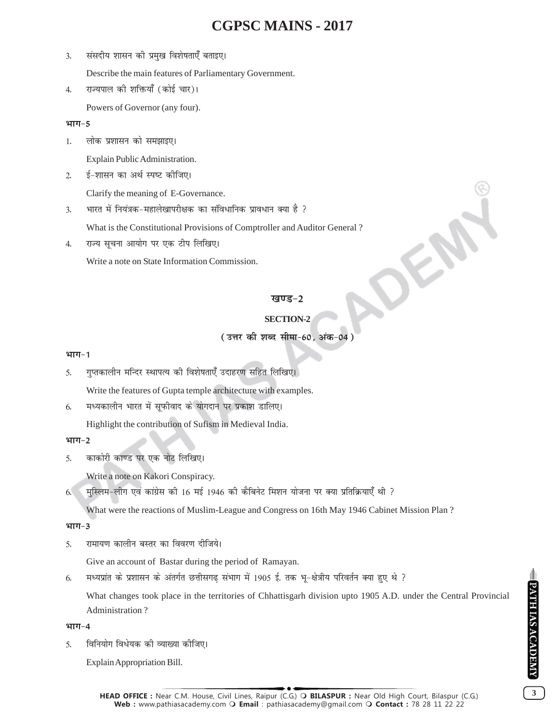3. संसदीय शासन की प्रमुख विशेषताएँ बताइए।

Describe the main features of Parliamentary Government.

4. राज्यपाल को शक्तियाँ (कोई चार)।

Powers of Governor (any four).

#### भाग-5

1. लोक प्रशासन को समझाइए।

Explain Public Administration.

2. ई-शासन का अर्थ स्पष्ट कीजिए।

Clarify the meaning of E-Governance.

3. भारत में नियंत्रक-महालेखापरीक्षक का संविधानिक प्रावधान क्या है ?

What is the Constitutional Provisions of Comptroller and Auditor General ?

4. राज्य सचना आयोग पर एक टीप लिखिए।

Write a note on State Information Commission.

## खण्ड-2

## **SECTION-2**

OEN

## ( उत्तर की शब्द सीमा-60, अंक-04

#### **भाग-1**

5. गुप्तकालीन मन्दिर स्थापत्य की विशेषताएँ उदाहरण सहित लिखिए।

Write the features of Gupta temple architecture with examples.

6. मध्यकालीन भारत में सूफीवाद के योगदान पर प्रकाश डालिए।

Highlight the contribution of Sufism in Medieval India.

## भाग-2

5. काकोरी काण्ड पर एक नोट लिखिए।

Write a note on Kakori Conspiracy.

6. मुस्लिम-लीग एवं कांग्रेस की 16 मई 1946 की कैबिनेट मिशन योजना पर क्या प्रतिक्रियाएँ थी ?

What were the reactions of Muslim-League and Congress on 16th May 1946 Cabinet Mission Plan ?

भाग-3

5. समायण कालीन बस्तर का विवरण दीजिये।

Give an account of Bastar during the period of Ramayan.

6. मध्यप्रांत के प्रशासन के अंतर्गत छत्तीसगढ़ संभाग में 1905 ई. तक भू-क्षेत्रीय परिवर्तन क्या हुए थे ?

What changes took place in the territories of Chhattisgarh division upto 1905 A.D. under the Central Provincial Administration ?

## भाग-4

5. विनियोग विधेयक की व्याख्या कीजिए।

Explain Appropriation Bill.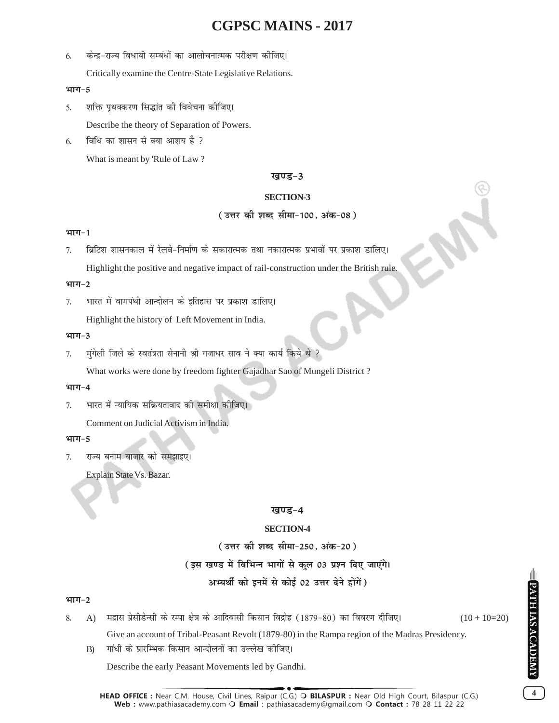6. केन्द्र-राज्य विधायी सम्बंधों का आलोचनात्मक परीक्षण कीजिए।

Critically examine the Centre-State Legislative Relations.

#### भाग-5

- 5. शक्ति पृथक्करण सिद्धांत की विवेचना कीजिए। Describe the theory of Separation of Powers.
- $6.$  विधि का शासन से क्या आशय है ?

What is meant by 'Rule of Law ?

#### **खण्ड-3**

#### **SECTION-3**

#### ( उत्तर की शब्द सीमा-100, अंक-08 )

#### **भाग-1**

7. ब्रिटिश शासनकाल में रेलवे-निर्माण के सकारात्मक तथा नकारात्मक प्रभावों पर प्रकाश डालिए।

Highlight the positive and negative impact of rail-construction under the British rule.

#### भाग-2

7. भारत में वामपंथी आन्दोलन के इतिहास पर प्रकाश डालिए।

Highlight the history of Left Movement in India.

#### भाग-3

7. मंगेली जिले के स्वतंत्रता सेनानी श्री गजाधर साव ने क्या कार्य किये थे ?

What works were done by freedom fighter Gajadhar Sao of Mungeli District ?

#### भाग-4

7. भारत में न्यायिक सक्रियतावाद की समीक्षा कीजिए।

Comment on Judicial Activism in India.

#### भाग-5

7. राज्य बनाम बाजार को समझाइए।

Explain State Vs. Bazar.

## **खण्ड-4**

## **SECTION-4**

( उत्तर की शब्द सीमा-250, अंक-20) (इस खण्ड में विभिन्न भागों से कल 03 प्रश्न दिए जाएंगे। अभ्यर्थी को इनमें से कोई 02 उत्तर देने होंगें)

#### भाग-2

- 8. A) मद्रास प्रेसीडेन्सी के रम्पा क्षेत्र के आदिवासी किसान विद्रोह (1879-80) का विवरण दीजिए।  $(10 + 10=20)$ Give an account of Tribal-Peasant Revolt (1879-80) in the Rampa region of the Madras Presidency.
	- B) गांधी के प्रारम्भिक किसान आन्दोलनों का उल्लेख कीजिए।

Describe the early Peasant Movements led by Gandhi.

**4**